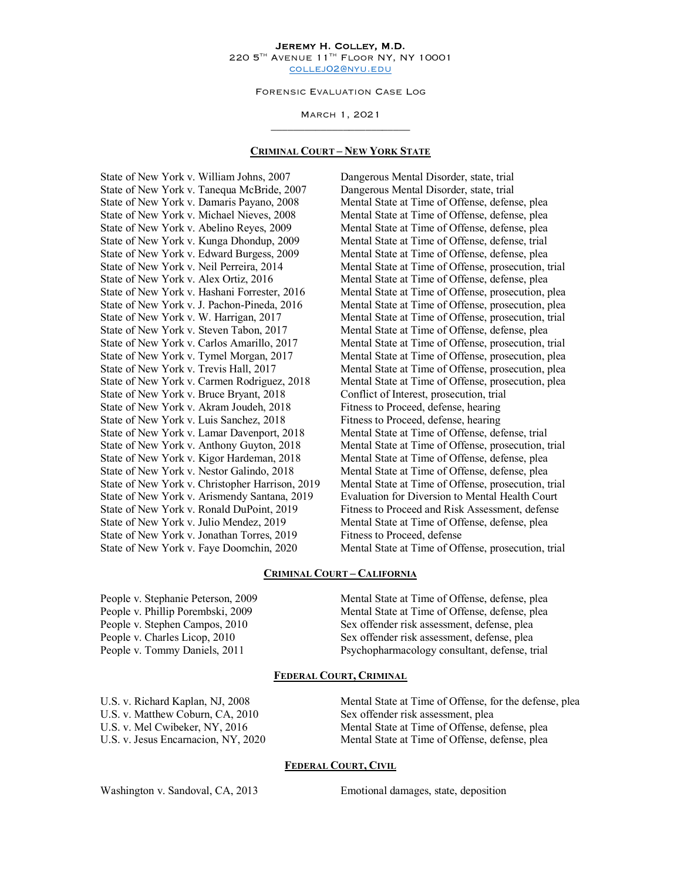#### Jeremy H. Colley, M.D. 220 5<sup>TH</sup> AVENUE 11<sup>TH</sup> FLOOR NY, NY 10001 collej02@nyu.edu

Forensic Evaluation Case Log

March 1, 2021 \_\_\_\_\_\_\_\_\_\_\_\_\_\_\_\_\_\_\_\_\_\_\_\_\_

#### **CRIMINAL COURT – NEW YORK STATE**

State of New York v. William Johns, 2007 Dangerous Mental Disorder, state, trial State of New York v. Tanequa McBride, 2007 Dangerous Mental Disorder, state, trial State of New York v. Damaris Payano, 2008 Mental State at Time of Offense, defense, plea<br>State of New York v. Michael Nieves, 2008 Mental State at Time of Offense, defense, plea State of New York v. Abelino Reyes, 2009 Mental State at Time of Offense, defense, plea State of New York v. Kunga Dhondup, 2009 Mental State at Time of Offense, defense, trial State of New York v. Edward Burgess, 2009 Mental State at Time of Offense, defense, plea State of New York v. Alex Ortiz, 2016 Mental State at Time of Offense, defense, plea State of New York v. Steven Tabon, 2017 Mental State at Time of Offense, defense, plea State of New York v. Bruce Bryant, 2018 Conflict of Interest, prosecution, trial State of New York v. Akram Joudeh, 2018 Fitness to Proceed, defense, hearing State of New York v. Luis Sanchez, 2018 Fitness to Proceed, defense, hearing State of New York v. Lamar Davenport, 2018 Mental State at Time of Offense, defense, trial State of New York v. Kigor Hardeman, 2018 Mental State at Time of Offense, defense, plea State of New York v. Nestor Galindo, 2018 Mental State at Time of Offense, defense, plea State of New York v. Julio Mendez, 2019 Mental State at Time of Offense, defense, plea State of New York v. Jonathan Torres, 2019 Fitness to Proceed, defense State of New York v. Faye Doomchin, 2020 Mental State at Time of Offense, prosecution, trial

Mental State at Time of Offense, defense, plea State of New York v. Neil Perreira, 2014 Mental State at Time of Offense, prosecution, trial State of New York v. Hashani Forrester, 2016 Mental State at Time of Offense, prosecution, plea State of New York v. J. Pachon-Pineda, 2016 Mental State at Time of Offense, prosecution, plea State of New York v. W. Harrigan, 2017 Mental State at Time of Offense, prosecution, trial State of New York v. Carlos Amarillo, 2017 Mental State at Time of Offense, prosecution, trial<br>State of New York v. Tymel Morgan, 2017 Mental State at Time of Offense, prosecution, plea Mental State at Time of Offense, prosecution, plea State of New York v. Trevis Hall, 2017 Mental State at Time of Offense, prosecution, plea State of New York v. Carmen Rodriguez, 2018 Mental State at Time of Offense, prosecution, plea State of New York v. Anthony Guyton, 2018 Mental State at Time of Offense, prosecution, trial State of New York v. Christopher Harrison, 2019 Mental State at Time of Offense, prosecution, trial State of New York v. Arismendy Santana, 2019 Evaluation for Diversion to Mental Health Court State of New York v. Ronald DuPoint, 2019 Fitness to Proceed and Risk Assessment, defense

#### **CRIMINAL COURT – CALIFORNIA**

People v. Stephanie Peterson, 2009 Mental State at Time of Offense, defense, plea People v. Phillip Porembski, 2009 Mental State at Time of Offense, defense, plea People v. Stephen Campos, 2010 Sex offender risk assessment, defense, plea People v. Charles Licop, 2010 Sex offender risk assessment, defense, plea People v. Tommy Daniels, 2011 Psychopharmacology consultant, defense, trial

### **FEDERAL COURT, CRIMINAL**

U.S. v. Matthew Coburn, CA, 2010 Sex offender risk assessment, plea

U.S. v. Richard Kaplan, NJ, 2008 Mental State at Time of Offense, for the defense, plea U.S. v. Mel Cwibeker, NY, 2016 Mental State at Time of Offense, defense, plea U.S. v. Jesus Encarnacion, NY, 2020 Mental State at Time of Offense, defense, plea

#### **FEDERAL COURT, CIVIL**

Washington v. Sandoval, CA, 2013 Emotional damages, state, deposition